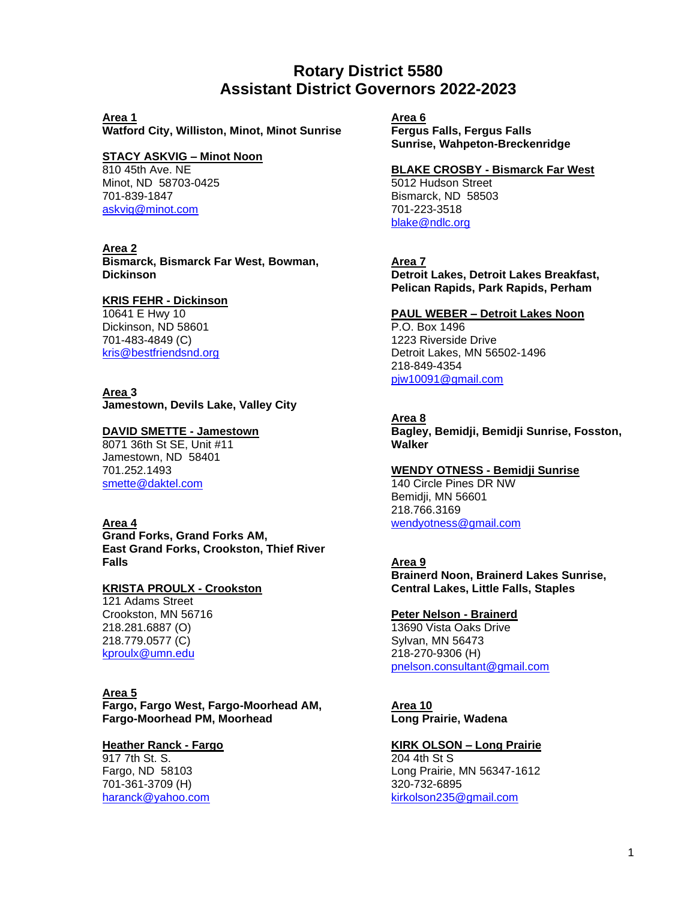# **Rotary District 5580 Assistant District Governors 2022-2023**

#### **Area 1**

**Watford City, Williston, Minot, Minot Sunrise**

#### **STACY ASKVIG – Minot Noon**

810 45th Ave. NE Minot, ND 58703-0425 701-839-1847 [askvig@minot.com](mailto:askvig@minot.com)

#### **Area 2**

**Bismarck, Bismarck Far West, Bowman, Dickinson**

#### **KRIS FEHR - Dickinson**

10641 E Hwy 10 Dickinson, ND 58601 701-483-4849 (C) kris@bestfriendsnd.org

## **Area 3**

**Jamestown, Devils Lake, Valley City**

## **DAVID SMETTE - Jamestown**

8071 36th St SE, Unit #11 Jamestown, ND 58401 701.252.1493 [smette@daktel.com](mailto:smette@daktel.com)

## **Area 4**

**Grand Forks, Grand Forks AM, East Grand Forks, Crookston, Thief River Falls**

## **KRISTA PROULX - Crookston**

121 Adams Street Crookston, MN 56716 218.281.6887 (O) 218.779.0577 (C) [kproulx@umn.edu](mailto:kproulx@umn.edu)

## **Area 5**

**Fargo, Fargo West, Fargo-Moorhead AM, Fargo-Moorhead PM, Moorhead**

#### **Heather Ranck - Fargo**

917 7th St. S. Fargo, ND 58103 701-361-3709 (H) [haranck@yahoo.com](mailto:haranck@yahoo.com)  **Area 6 Fergus Falls, Fergus Falls Sunrise, Wahpeton-Breckenridge**

#### **BLAKE CROSBY - Bismarck Far West**

5012 Hudson Street Bismarck, ND 58503 701-223-3518 [blake@ndlc.org](mailto:blake@ndlc.org)

## **Area 7**

**Detroit Lakes, Detroit Lakes Breakfast, Pelican Rapids, Park Rapids, Perham**

#### **PAUL WEBER – Detroit Lakes Noon**

P.O. Box 1496 1223 Riverside Drive Detroit Lakes, MN 56502-1496 218-849-4354 [pjw10091@gmail.com](mailto:pjw10091@gmail.com)

## **Area 8**

**Bagley, Bemidji, Bemidji Sunrise, Fosston, Walker**

#### **WENDY OTNESS - Bemidji Sunrise**

140 Circle Pines DR NW Bemidji, MN 56601 218.766.3169 [wendyotness@gmail.com](mailto:wendyotness@gmail.com)

## **Area 9**

**Brainerd Noon, Brainerd Lakes Sunrise, Central Lakes, Little Falls, Staples**

#### **Peter Nelson - Brainerd**

13690 Vista Oaks Drive Sylvan, MN 56473 218-270-9306 (H) [pnelson.consultant@gmail.com](mailto:pnelson.consultant@gmail.com)

**Area 10 Long Prairie, Wadena**

## **KIRK OLSON – Long Prairie**

204 4th St S Long Prairie, MN 56347-1612 320-732-6895 [kirkolson235@gmail.com](mailto:kirkolson235@gmail.com)